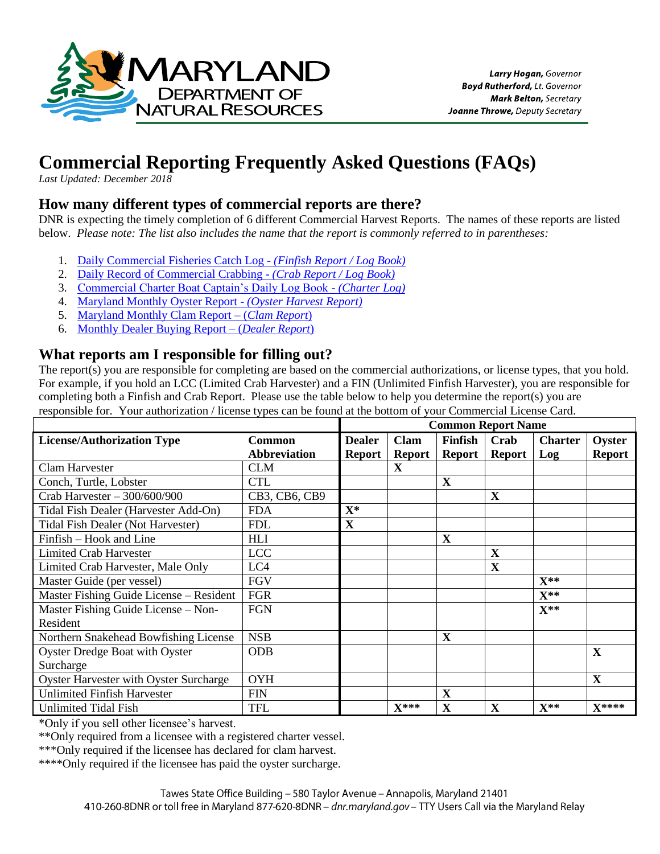

# **Commercial Reporting Frequently Asked Questions (FAQs)**

*Last Updated: December 2018* 

### **How many different types of commercial reports are there?**

DNR is expecting the timely completion of 6 different Commercial Harvest Reports. The names of these reports are listed below. *Please note: The list also includes the name that the report is commonly referred to in parentheses:*

- 1. [Daily Commercial Fisheries Catch Log](http://dnr.maryland.gov/fisheries/Documents/Dailycomfishrec1.pdf) *(Finfish Report / Log Book)*
- 2. [Daily Record of Commercial Crabbing](http://dnr.maryland.gov/fisheries/Documents/dailycrabform.pdf) *(Crab Report / Log Book)*
- 3. [Commercial Charter Boat Captain's Daily Log Book](https://dnr.maryland.gov/fisheries/Documents/Comchartcaptdailylog.pdf) *(Charter Log)*
- 4. [Maryland Monthly Oyster Report](http://dnr.maryland.gov/fisheries/Documents/oyharvestform09.pdf) *(Oyster Harvest Report)*
- 5. [Maryland Monthly Clam Report –](http://dnr.maryland.gov/fisheries/Documents/clamharvestreport_monthlyform.pdf) (*Clam Report*)
- 6. [Monthly Dealer Buying Report –](http://dnr.maryland.gov/fisheries/Documents/dealer_report.pdf) (*Dealer Report*)

### **What reports am I responsible for filling out?**

The report(s) you are responsible for completing are based on the commercial authorizations, or license types, that you hold. For example, if you hold an LCC (Limited Crab Harvester) and a FIN (Unlimited Finfish Harvester), you are responsible for completing both a Finfish and Crab Report. Please use the table below to help you determine the report(s) you are responsible for. Your authorization / license types can be found at the bottom of your Commercial License Card.

|                                          |                     | <b>Common Report Name</b> |               |               |               |                   |               |
|------------------------------------------|---------------------|---------------------------|---------------|---------------|---------------|-------------------|---------------|
| <b>License/Authorization Type</b>        | <b>Common</b>       | <b>Dealer</b>             | <b>Clam</b>   | Finfish       | Crab          | <b>Charter</b>    | Oyster        |
|                                          | <b>Abbreviation</b> | Report                    | <b>Report</b> | <b>Report</b> | <b>Report</b> | Log               | <b>Report</b> |
| Clam Harvester                           | <b>CLM</b>          |                           | X             |               |               |                   |               |
| Conch, Turtle, Lobster                   | <b>CTL</b>          |                           |               | $\mathbf X$   |               |                   |               |
| Crab Harvester $-300/600/900$            | CB3, CB6, CB9       |                           |               |               | $\mathbf X$   |                   |               |
| Tidal Fish Dealer (Harvester Add-On)     | <b>FDA</b>          | $\mathbf{X}^*$            |               |               |               |                   |               |
| <b>Tidal Fish Dealer (Not Harvester)</b> | <b>FDL</b>          | X                         |               |               |               |                   |               |
| Finfish – Hook and Line                  | <b>HLI</b>          |                           |               | X             |               |                   |               |
| <b>Limited Crab Harvester</b>            | <b>LCC</b>          |                           |               |               | $\mathbf X$   |                   |               |
| Limited Crab Harvester, Male Only        | LC4                 |                           |               |               | X             |                   |               |
| Master Guide (per vessel)                | <b>FGV</b>          |                           |               |               |               | $X^{**}$          |               |
| Master Fishing Guide License - Resident  | FGR                 |                           |               |               |               | $\mathbf{X}^{**}$ |               |
| Master Fishing Guide License - Non-      | <b>FGN</b>          |                           |               |               |               | $X^{**}$          |               |
| Resident                                 |                     |                           |               |               |               |                   |               |
| Northern Snakehead Bowfishing License    | <b>NSB</b>          |                           |               | X             |               |                   |               |
| <b>Oyster Dredge Boat with Oyster</b>    | <b>ODB</b>          |                           |               |               |               |                   | X             |
| Surcharge                                |                     |                           |               |               |               |                   |               |
| Oyster Harvester with Oyster Surcharge   | <b>OYH</b>          |                           |               |               |               |                   | X             |
| <b>Unlimited Finfish Harvester</b>       | <b>FIN</b>          |                           |               | X             |               |                   |               |
| <b>Unlimited Tidal Fish</b>              | TFL                 |                           | $X^{***}$     | X             | X             | $X^{**}$          | $X****$       |

\*Only if you sell other licensee's harvest.

\*\*Only required from a licensee with a registered charter vessel.

\*\*\*Only required if the licensee has declared for clam harvest.

\*\*\*\*Only required if the licensee has paid the oyster surcharge.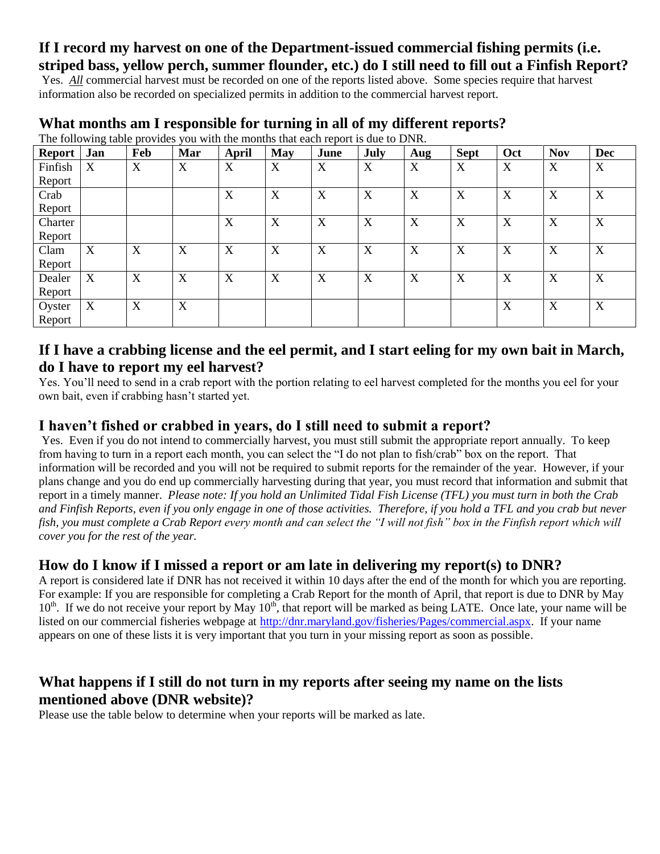# **If I record my harvest on one of the Department-issued commercial fishing permits (i.e. striped bass, yellow perch, summer flounder, etc.) do I still need to fill out a Finfish Report?**

Yes. *All* commercial harvest must be recorded on one of the reports listed above. Some species require that harvest information also be recorded on specialized permits in addition to the commercial harvest report.

| Report  | Jan | Feb | The Tonowing there provides you with the months that each report is due to Dryin.<br>Mar | April | May | June             | July | Aug | <b>Sept</b> | Oct | <b>Nov</b> | <b>Dec</b> |
|---------|-----|-----|------------------------------------------------------------------------------------------|-------|-----|------------------|------|-----|-------------|-----|------------|------------|
| Finfish | X   | X   | X                                                                                        | X     | X   | $\boldsymbol{X}$ | X    | X   | X           | X   | X          | X          |
| Report  |     |     |                                                                                          |       |     |                  |      |     |             |     |            |            |
| Crab    |     |     |                                                                                          | X     | X   | X                | X    | X   | X           | X   | X          | X          |
| Report  |     |     |                                                                                          |       |     |                  |      |     |             |     |            |            |
| Charter |     |     |                                                                                          | X     | X   | X                | X    | X   | X           | X   | X          | X          |
| Report  |     |     |                                                                                          |       |     |                  |      |     |             |     |            |            |
| Clam    | X   | X   | X                                                                                        | X     | X   | X                | X    | X   | X           | X   | X          | X          |
| Report  |     |     |                                                                                          |       |     |                  |      |     |             |     |            |            |
| Dealer  | X   | X   | X                                                                                        | X     | X   | X                | X    | X   | X           | X   | X          | X          |
| Report  |     |     |                                                                                          |       |     |                  |      |     |             |     |            |            |
| Oyster  | X   | X   | X                                                                                        |       |     |                  |      |     |             | X   | X          | X          |
| Report  |     |     |                                                                                          |       |     |                  |      |     |             |     |            |            |

#### **What months am I responsible for turning in all of my different reports?** The following table provides you with the months that each report is due to DNR.

# **If I have a crabbing license and the eel permit, and I start eeling for my own bait in March, do I have to report my eel harvest?**

Yes. You'll need to send in a crab report with the portion relating to eel harvest completed for the months you eel for your own bait, even if crabbing hasn't started yet.

# **I haven't fished or crabbed in years, do I still need to submit a report?**

Yes. Even if you do not intend to commercially harvest, you must still submit the appropriate report annually. To keep from having to turn in a report each month, you can select the "I do not plan to fish/crab" box on the report. That information will be recorded and you will not be required to submit reports for the remainder of the year. However, if your plans change and you do end up commercially harvesting during that year, you must record that information and submit that report in a timely manner. *Please note: If you hold an Unlimited Tidal Fish License (TFL) you must turn in both the Crab and Finfish Reports, even if you only engage in one of those activities. Therefore, if you hold a TFL and you crab but never fish, you must complete a Crab Report every month and can select the "I will not fish" box in the Finfish report which will cover you for the rest of the year.* 

# **How do I know if I missed a report or am late in delivering my report(s) to DNR?**

A report is considered late if DNR has not received it within 10 days after the end of the month for which you are reporting. For example: If you are responsible for completing a Crab Report for the month of April, that report is due to DNR by May  $10<sup>th</sup>$ . If we do not receive your report by May  $10<sup>th</sup>$ , that report will be marked as being LATE. Once late, your name will be listed on our commercial fisheries webpage at [http://dnr.maryland.gov/fisheries/Pages/commercial.aspx.](http://dnr.maryland.gov/fisheries/Pages/commercial.aspx) If your name appears on one of these lists it is very important that you turn in your missing report as soon as possible.

# **What happens if I still do not turn in my reports after seeing my name on the lists mentioned above (DNR website)?**

Please use the table below to determine when your reports will be marked as late.